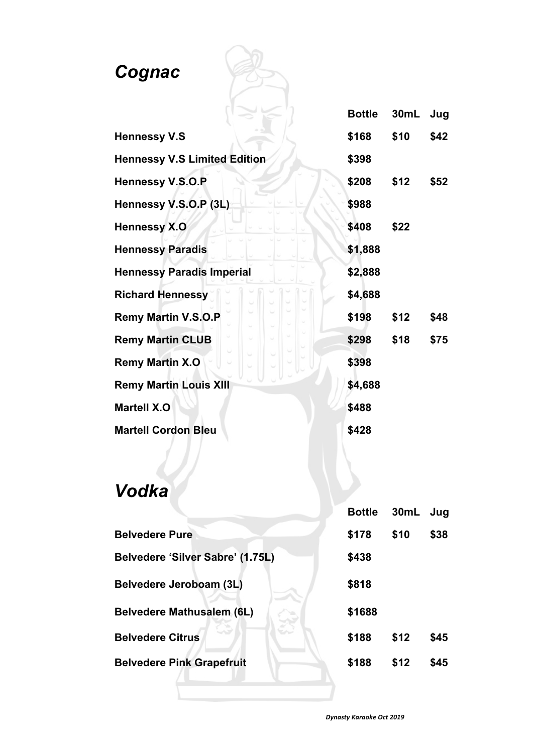#### *Cognac*

|                                     |  | <b>Bottle</b> | 30mL | Jug  |
|-------------------------------------|--|---------------|------|------|
| <b>Hennessy V.S</b>                 |  | \$168         | \$10 | \$42 |
| <b>Hennessy V.S Limited Edition</b> |  | \$398         |      |      |
| <b>Hennessy V.S.O.P</b>             |  | \$208         | \$12 | \$52 |
| Hennessy V.S.O.P (3L)               |  | \$988         |      |      |
| <b>Hennessy X.O</b>                 |  | \$408         | \$22 |      |
| <b>Hennessy Paradis</b>             |  | \$1,888       |      |      |
| <b>Hennessy Paradis Imperial</b>    |  | \$2,888       |      |      |
| <b>Richard Hennessy</b>             |  | \$4,688       |      |      |
| <b>Remy Martin V.S.O.P</b>          |  | \$198         | \$12 | \$48 |
| <b>Remy Martin CLUB</b>             |  | \$298         | \$18 | \$75 |
| <b>Remy Martin X.O</b>              |  | \$398         |      |      |
| <b>Remy Martin Louis XIII</b>       |  | \$4,688       |      |      |
| <b>Martell X.O</b>                  |  | \$488         |      |      |
| <b>Martell Cordon Bleu</b>          |  | \$428         |      |      |

| Vodka                            |               |      |      |
|----------------------------------|---------------|------|------|
|                                  | <b>Bottle</b> | 30mL | Jug  |
| <b>Belvedere Pure</b>            | \$178         | \$10 | \$38 |
| Belvedere 'Silver Sabre' (1.75L) | \$438         |      |      |
| Belvedere Jeroboam (3L)          | \$818         |      |      |
| <b>Belvedere Mathusalem (6L)</b> | \$1688        |      |      |
| <b>Belvedere Citrus</b>          | \$188         | \$12 | \$45 |
| <b>Belvedere Pink Grapefruit</b> | \$188         | \$12 | \$45 |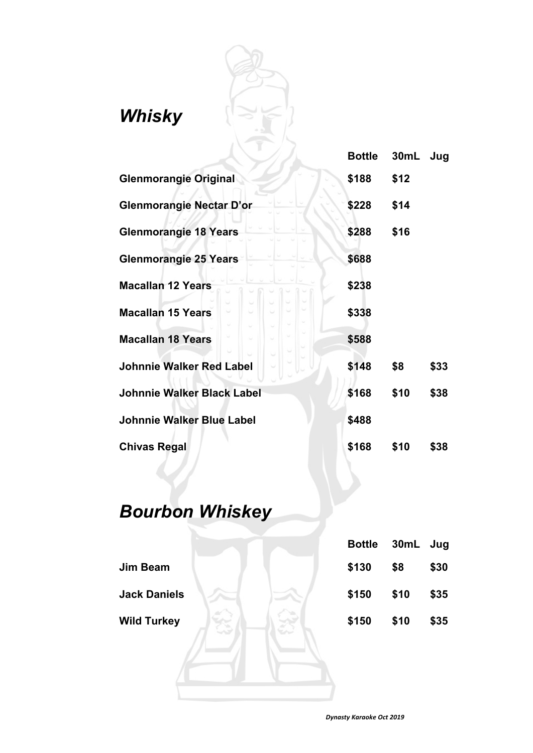#### *Whisky*

|                                   | <b>Bottle</b> | 30mL | Jug  |
|-----------------------------------|---------------|------|------|
| <b>Glenmorangie Original</b>      | \$188         | \$12 |      |
| <b>Glenmorangie Nectar D'or</b>   | \$228         | \$14 |      |
| <b>Glenmorangie 18 Years</b>      | \$288         | \$16 |      |
| <b>Glenmorangie 25 Years</b>      | \$688         |      |      |
| <b>Macallan 12 Years</b>          | \$238         |      |      |
| <b>Macallan 15 Years</b>          | \$338         |      |      |
| <b>Macallan 18 Years</b>          | \$588         |      |      |
| <b>Johnnie Walker Red Label</b>   | \$148         | \$8  | \$33 |
| <b>Johnnie Walker Black Label</b> | \$168         | \$10 | \$38 |
| <b>Johnnie Walker Blue Label</b>  | \$488         |      |      |
| <b>Chivas Regal</b>               | \$168         | \$10 | \$38 |

#### *Bourbon Whiskey*

|                     | <b>Bottle</b> | 30mL | Jug  |
|---------------------|---------------|------|------|
| <b>Jim Beam</b>     | \$130         | \$8  | \$30 |
| <b>Jack Daniels</b> | \$150         | \$10 | \$35 |
| <b>Wild Turkey</b>  | \$150         | \$10 | \$35 |
|                     |               |      |      |
|                     |               |      |      |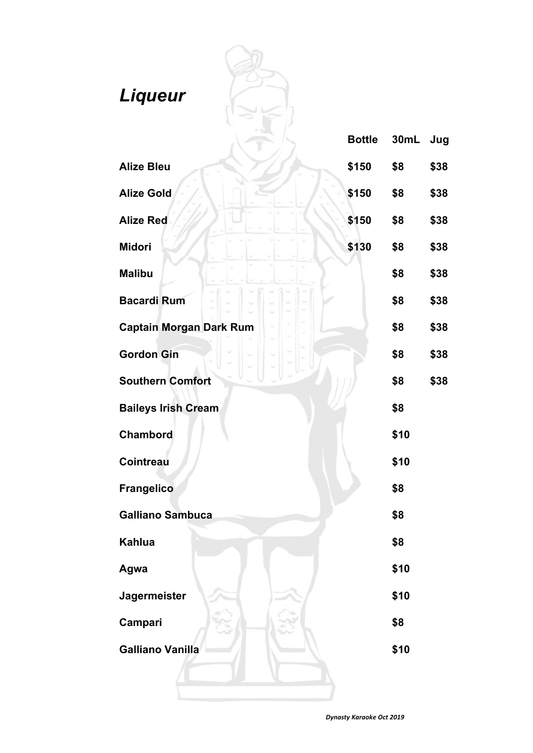| Liqueur                        | <b>Bottle</b> | 30mL | Jug  |
|--------------------------------|---------------|------|------|
| <b>Alize Bleu</b>              | \$150         | \$8  | \$38 |
| <b>Alize Gold</b>              | \$150         | \$8  | \$38 |
| <b>Alize Red</b>               | \$150         | \$8  | \$38 |
| <b>Midori</b>                  | \$130         | \$8  | \$38 |
| <b>Malibu</b>                  |               | \$8  | \$38 |
| <b>Bacardi Rum</b>             |               | \$8  | \$38 |
| <b>Captain Morgan Dark Rum</b> |               | \$8  | \$38 |
| <b>Gordon Gin</b>              |               | \$8  | \$38 |
| <b>Southern Comfort</b>        |               | \$8  | \$38 |
| <b>Baileys Irish Cream</b>     |               | \$8  |      |
| Chambord                       |               | \$10 |      |
| <b>Cointreau</b>               |               | \$10 |      |
| <b>Frangelico</b>              |               | \$8  |      |
| <b>Galliano Sambuca</b>        |               | \$8  |      |
| <b>Kahlua</b>                  |               | \$8  |      |
| Agwa                           |               | \$10 |      |
| <b>Jagermeister</b>            |               | \$10 |      |
| Campari                        |               | \$8  |      |
| <b>Galliano Vanilla</b>        |               | \$10 |      |
|                                |               |      |      |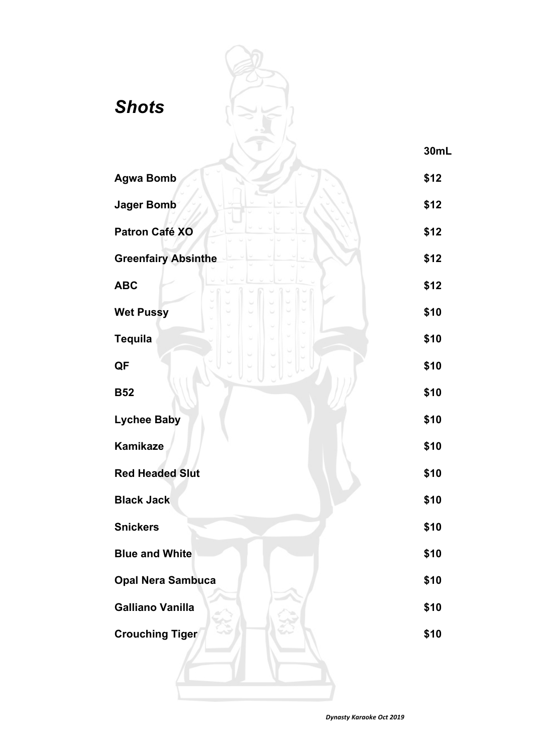| <b>Shots</b>               | 30mL |
|----------------------------|------|
| <b>Agwa Bomb</b>           | \$12 |
| <b>Jager Bomb</b>          | \$12 |
| Patron Café XO             | \$12 |
| <b>Greenfairy Absinthe</b> | \$12 |
| <b>ABC</b>                 | \$12 |
| <b>Wet Pussy</b>           | \$10 |
| <b>Tequila</b>             | \$10 |
| QF                         | \$10 |
| <b>B52</b>                 | \$10 |
| <b>Lychee Baby</b>         | \$10 |
| Kamikaze                   | \$10 |
| <b>Red Headed Slut</b>     | \$10 |
| <b>Black Jack</b>          | \$10 |
| <b>Snickers</b>            | \$10 |
| <b>Blue and White</b>      | \$10 |
| <b>Opal Nera Sambuca</b>   | \$10 |
| <b>Galliano Vanilla</b>    | \$10 |
| <b>Crouching Tiger</b>     | \$10 |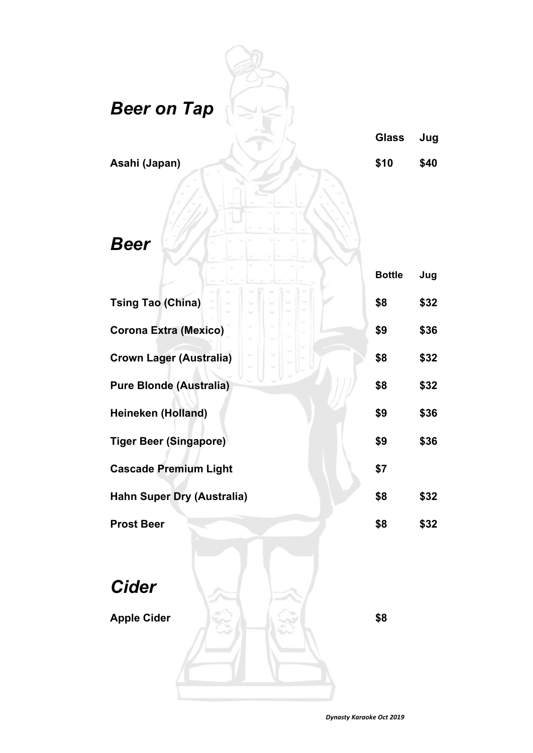| <b>Beer on Tap</b>                 | <b>Glass</b>  | Jug  |
|------------------------------------|---------------|------|
| Asahi (Japan)                      | \$10          | \$40 |
| <b>Beer</b>                        | <b>Bottle</b> | Jug  |
| <b>Tsing Tao (China)</b>           | \$8           | \$32 |
| <b>Corona Extra (Mexico)</b>       | \$9           | \$36 |
| <b>Crown Lager (Australia)</b>     | \$8           | \$32 |
| <b>Pure Blonde (Australia)</b>     | \$8           | \$32 |
| Heineken (Holland)                 | \$9           | \$36 |
| <b>Tiger Beer (Singapore)</b>      | \$9           | \$36 |
| <b>Cascade Premium Light</b>       | \$7           |      |
| <b>Hahn Super Dry (Australia)</b>  | \$8           | \$32 |
| <b>Prost Beer</b>                  | \$8           | \$32 |
| <b>Cider</b><br><b>Apple Cider</b> | \$8           |      |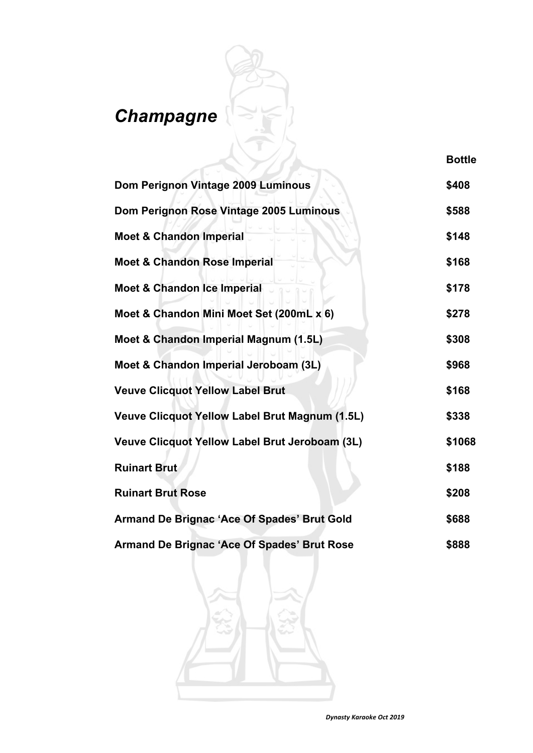#### *Champagne*

| Dom Perignon Vintage 2009 Luminous             | \$408  |
|------------------------------------------------|--------|
| Dom Perignon Rose Vintage 2005 Luminous        | \$588  |
| <b>Moet &amp; Chandon Imperial</b>             | \$148  |
| <b>Moet &amp; Chandon Rose Imperial</b>        | \$168  |
| <b>Moet &amp; Chandon Ice Imperial</b>         | \$178  |
| Moet & Chandon Mini Moet Set (200mL x 6)       | \$278  |
| Moet & Chandon Imperial Magnum (1.5L)          | \$308  |
| Moet & Chandon Imperial Jeroboam (3L)          | \$968  |
| <b>Veuve Clicquot Yellow Label Brut</b>        | \$168  |
| Veuve Clicquot Yellow Label Brut Magnum (1.5L) | \$338  |
| Veuve Clicquot Yellow Label Brut Jeroboam (3L) | \$1068 |
| <b>Ruinart Brut</b>                            | \$188  |
| <b>Ruinart Brut Rose</b>                       | \$208  |
| Armand De Brignac 'Ace Of Spades' Brut Gold    | \$688  |
| Armand De Brignac 'Ace Of Spades' Brut Rose    | \$888  |

**Bottle**

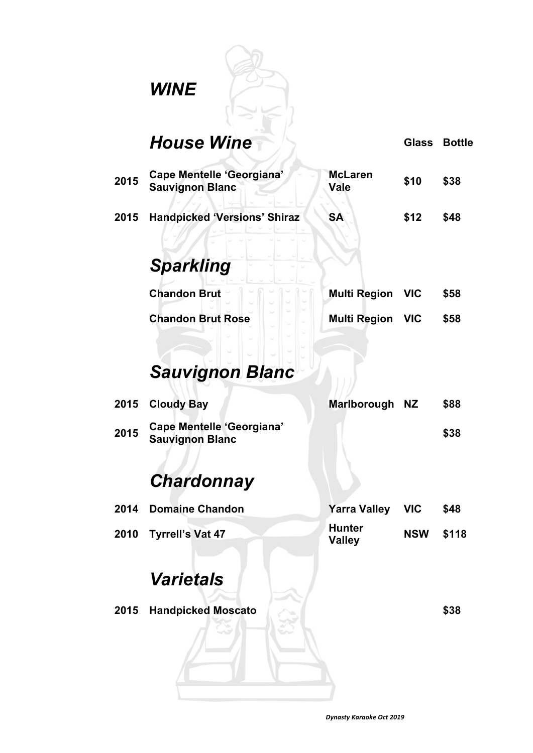## *WINE*

|      | <b>House Wine</b>                                          |                                | <b>Glass</b> | <b>Bottle</b> |
|------|------------------------------------------------------------|--------------------------------|--------------|---------------|
| 2015 | Cape Mentelle 'Georgiana'<br><b>Sauvignon Blanc</b>        | <b>McLaren</b><br><b>Vale</b>  | \$10         | \$38          |
| 2015 | <b>Handpicked 'Versions' Shiraz</b>                        | <b>SA</b>                      | \$12         | \$48          |
|      | <b>Sparkling</b>                                           |                                |              |               |
|      | <b>Chandon Brut</b>                                        | <b>Multi Region</b>            | <b>VIC</b>   | \$58          |
|      | <b>Chandon Brut Rose</b>                                   | <b>Multi Region VIC</b>        |              | \$58          |
|      | <b>Sauvignon Blanc</b>                                     |                                |              |               |
| 2015 | <b>Cloudy Bay</b>                                          | <b>Marlborough</b>             | <b>NZ</b>    | \$88          |
| 2015 | <b>Cape Mentelle 'Georgiana'</b><br><b>Sauvignon Blanc</b> |                                |              | \$38          |
|      | <b>Chardonnay</b>                                          |                                |              |               |
| 2014 | Domaine Chandon                                            | Yarra Valley                   | <b>VIC</b>   | \$48          |
| 2010 | <b>Tyrrell's Vat 47</b>                                    | <b>Hunter</b><br><b>Valley</b> | <b>NSW</b>   | \$118         |
|      | <b>Varietals</b>                                           |                                |              |               |
| 2015 | <b>Handpicked Moscato</b>                                  |                                |              | \$38          |
|      |                                                            |                                |              |               |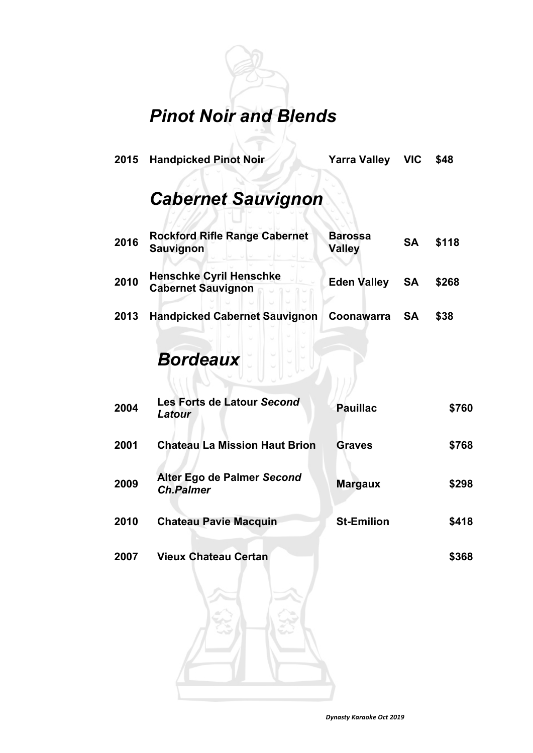#### *Pinot Noir and Blends*

**2015 Handpicked Pinot Noir Yarra Valley VIC \$48**

#### *Cabernet Sauvignon*

| 2016 | <b>Rockford Rifle Range Cabernet</b><br><b>Sauvignon</b>    | <b>Barossa</b><br><b>Valley</b> | <b>SA</b> | \$118 |
|------|-------------------------------------------------------------|---------------------------------|-----------|-------|
| 2010 | <b>Henschke Cyril Henschke</b><br><b>Cabernet Sauvignon</b> | <b>Eden Valley</b>              | -SA       | \$268 |
| 2013 | <b>Handpicked Cabernet Sauvignon</b>                        | Coonawarra                      | <b>SA</b> | \$38  |

#### *Bordeaux*

| 2004 | Les Forts de Latour Second<br>Latour           | <b>Pauillac</b>   | \$760 |
|------|------------------------------------------------|-------------------|-------|
| 2001 | <b>Chateau La Mission Haut Brion</b>           | <b>Graves</b>     | \$768 |
| 2009 | Alter Ego de Palmer Second<br><b>Ch.Palmer</b> | <b>Margaux</b>    | \$298 |
| 2010 | <b>Chateau Pavie Macquin</b>                   | <b>St-Emilion</b> | \$418 |
| 2007 | <b>Vieux Chateau Certan</b>                    |                   | \$368 |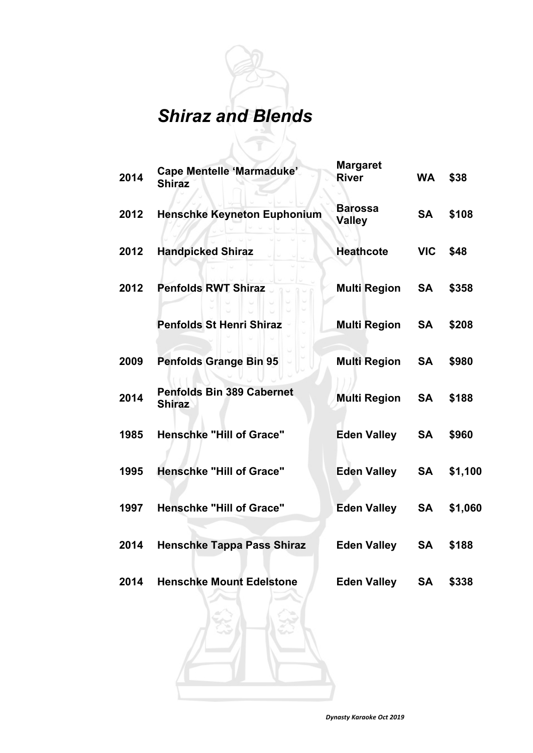# *Shiraz and Blends*

| 2014 | <b>Cape Mentelle 'Marmaduke'</b><br><b>Shiraz</b> | <b>Margaret</b><br><b>River</b> | <b>WA</b>  | \$38    |
|------|---------------------------------------------------|---------------------------------|------------|---------|
| 2012 | <b>Henschke Keyneton Euphonium</b>                | <b>Barossa</b><br><b>Valley</b> | <b>SA</b>  | \$108   |
| 2012 | <b>Handpicked Shiraz</b>                          | <b>Heathcote</b>                | <b>VIC</b> | \$48    |
| 2012 | <b>Penfolds RWT Shiraz</b>                        | <b>Multi Region</b>             | <b>SA</b>  | \$358   |
|      | <b>Penfolds St Henri Shiraz</b>                   | <b>Multi Region SA</b>          |            | \$208   |
| 2009 | <b>Penfolds Grange Bin 95</b>                     | <b>Multi Region</b>             | SA         | \$980   |
| 2014 | <b>Penfolds Bin 389 Cabernet</b><br><b>Shiraz</b> | <b>Multi Region</b>             | <b>SA</b>  | \$188   |
| 1985 | <b>Henschke "Hill of Grace"</b>                   | <b>Eden Valley</b>              | <b>SA</b>  | \$960   |
| 1995 | <b>Henschke "Hill of Grace"</b>                   | Eden Valley                     | <b>SA</b>  | \$1,100 |
| 1997 | <b>Henschke "Hill of Grace"</b>                   | Eden Valley                     | <b>SA</b>  | \$1,060 |
| 2014 | <b>Henschke Tappa Pass Shiraz</b>                 | <b>Eden Valley</b>              | <b>SA</b>  | \$188   |
| 2014 | <b>Henschke Mount Edelstone</b>                   | <b>Eden Valley</b>              | <b>SA</b>  | \$338   |
|      |                                                   |                                 |            |         |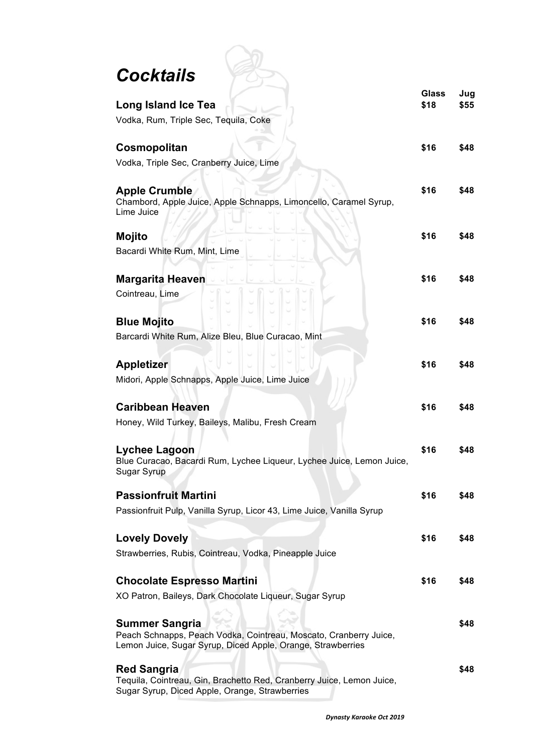| Cocktails                                                                                                                        |              |      |
|----------------------------------------------------------------------------------------------------------------------------------|--------------|------|
|                                                                                                                                  | <b>Glass</b> | Jug  |
| <b>Long Island Ice Tea</b>                                                                                                       | \$18         | \$55 |
| Vodka, Rum, Triple Sec, Tequila, Coke                                                                                            |              |      |
| Cosmopolitan                                                                                                                     | \$16         | \$48 |
| Vodka, Triple Sec, Cranberry Juice, Lime                                                                                         |              |      |
|                                                                                                                                  |              |      |
| <b>Apple Crumble</b>                                                                                                             | \$16         | \$48 |
| Chambord, Apple Juice, Apple Schnapps, Limoncello, Caramel Syrup,<br>Lime Juice                                                  |              |      |
|                                                                                                                                  |              |      |
| <b>Mojito</b>                                                                                                                    | \$16         | \$48 |
| Bacardi White Rum, Mint, Lime                                                                                                    |              |      |
| <b>Margarita Heaven</b>                                                                                                          | \$16         | \$48 |
| Cointreau, Lime                                                                                                                  |              |      |
|                                                                                                                                  |              |      |
| <b>Blue Mojito</b>                                                                                                               | \$16         | \$48 |
| Barcardi White Rum, Alize Bleu, Blue Curacao, Mint                                                                               |              |      |
|                                                                                                                                  |              |      |
| <b>Appletizer</b>                                                                                                                | \$16         | \$48 |
| Midori, Apple Schnapps, Apple Juice, Lime Juice                                                                                  |              |      |
|                                                                                                                                  |              |      |
| <b>Caribbean Heaven</b><br>Honey, Wild Turkey, Baileys, Malibu, Fresh Cream                                                      | \$16         | \$48 |
|                                                                                                                                  |              |      |
| Lychee Lagoon                                                                                                                    | \$16         |      |
| Blue Curacao, Bacardi Rum, Lychee Liqueur, Lychee Juice, Lemon Juice,                                                            |              |      |
| Sugar Syrup                                                                                                                      |              |      |
| <b>Passionfruit Martini</b>                                                                                                      | \$16         | \$48 |
| Passionfruit Pulp, Vanilla Syrup, Licor 43, Lime Juice, Vanilla Syrup                                                            |              |      |
|                                                                                                                                  |              |      |
| <b>Lovely Dovely</b>                                                                                                             | \$16         | \$48 |
| Strawberries, Rubis, Cointreau, Vodka, Pineapple Juice                                                                           |              |      |
| <b>Chocolate Espresso Martini</b>                                                                                                | \$16         | \$48 |
| XO Patron, Baileys, Dark Chocolate Liqueur, Sugar Syrup                                                                          |              |      |
|                                                                                                                                  |              |      |
| <b>Summer Sangria</b>                                                                                                            |              | \$48 |
| Peach Schnapps, Peach Vodka, Cointreau, Moscato, Cranberry Juice,<br>Lemon Juice, Sugar Syrup, Diced Apple, Orange, Strawberries |              |      |
|                                                                                                                                  |              |      |
| <b>Red Sangria</b>                                                                                                               |              | \$48 |
| Tequila, Cointreau, Gin, Brachetto Red, Cranberry Juice, Lemon Juice,<br>Sugar Syrup, Diced Apple, Orange, Strawberries          |              |      |

 $\overline{\phantom{a}}$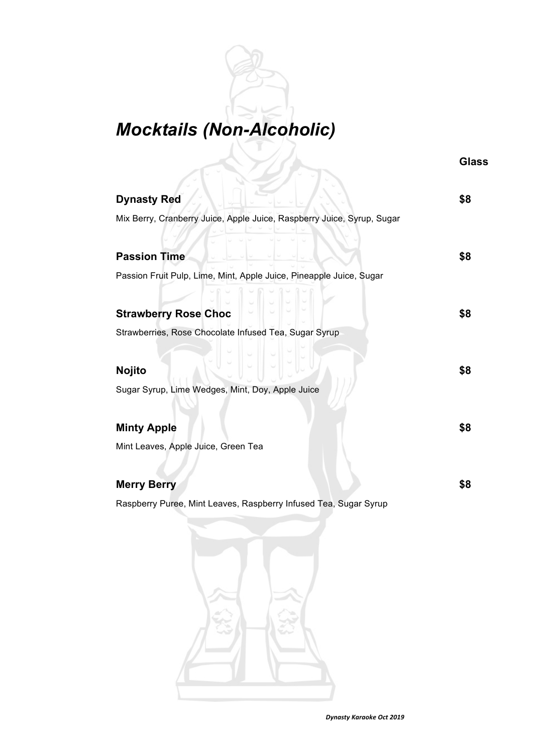### *Mocktails (Non-Alcoholic)*

**Glass**

| <b>Dynasty Red</b>                                                     | \$8 |
|------------------------------------------------------------------------|-----|
| Mix Berry, Cranberry Juice, Apple Juice, Raspberry Juice, Syrup, Sugar |     |
| <b>Passion Time</b>                                                    | \$8 |
| Passion Fruit Pulp, Lime, Mint, Apple Juice, Pineapple Juice, Sugar    |     |
|                                                                        |     |
| <b>Strawberry Rose Choc</b>                                            | \$8 |
| Strawberries, Rose Chocolate Infused Tea, Sugar Syrup                  |     |
|                                                                        |     |
| <b>Nojito</b>                                                          | \$8 |
| Sugar Syrup, Lime Wedges, Mint, Doy, Apple Juice                       |     |
| <b>Minty Apple</b>                                                     | \$8 |
| Mint Leaves, Apple Juice, Green Tea                                    |     |
| <b>Merry Berry</b>                                                     | \$8 |
| Raspberry Puree, Mint Leaves, Raspberry Infused Tea, Sugar Syrup       |     |

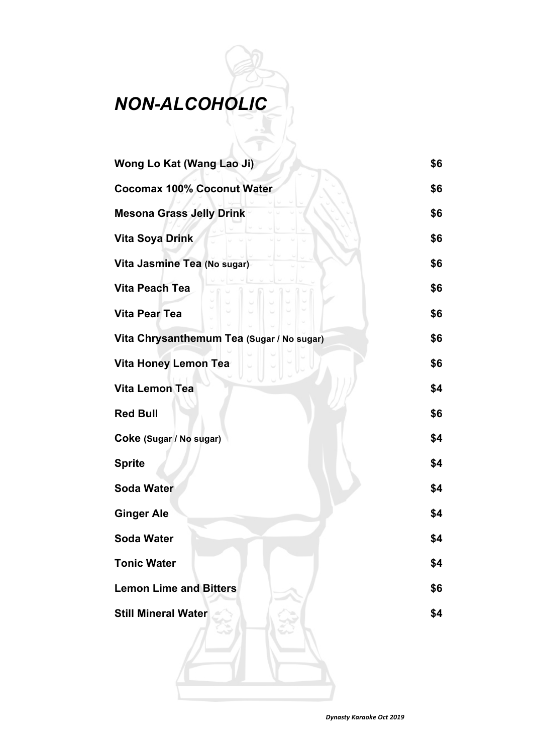#### *NON-ALCOHOLIC*

| Wong Lo Kat (Wang Lao Ji)                 |     |
|-------------------------------------------|-----|
| <b>Cocomax 100% Coconut Water</b>         | \$6 |
| <b>Mesona Grass Jelly Drink</b>           | \$6 |
| <b>Vita Soya Drink</b>                    | \$6 |
| Vita Jasmine Tea (No sugar)               | \$6 |
| <b>Vita Peach Tea</b>                     | \$6 |
| <b>Vita Pear Tea</b>                      | \$6 |
| Vita Chrysanthemum Tea (Sugar / No sugar) | \$6 |
| <b>Vita Honey Lemon Tea</b>               | \$6 |
| Vita Lemon Tea                            | \$4 |
| <b>Red Bull</b>                           | \$6 |
| Coke (Sugar / No sugar)                   | \$4 |
| <b>Sprite</b>                             | \$4 |
| <b>Soda Water</b>                         | \$4 |
| <b>Ginger Ale</b>                         | \$4 |
| <b>Soda Water</b>                         | \$4 |
| <b>Tonic Water</b>                        | \$4 |
| <b>Lemon Lime and Bitters</b>             | \$6 |
| <b>Still Mineral Water</b>                | \$4 |